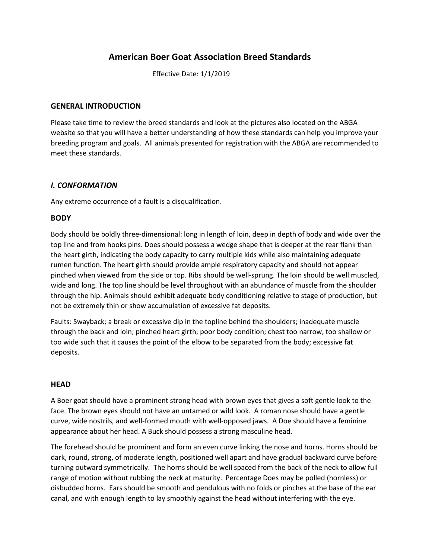# **American Boer Goat Association Breed Standards**

Effective Date: 1/1/2019

#### **GENERAL INTRODUCTION**

Please take time to review the breed standards and look at the pictures also located on the ABGA website so that you will have a better understanding of how these standards can help you improve your breeding program and goals. All animals presented for registration with the ABGA are recommended to meet these standards.

### *I. CONFORMATION*

Any extreme occurrence of a fault is a disqualification.

### **BODY**

Body should be boldly three-dimensional: long in length of loin, deep in depth of body and wide over the top line and from hooks pins. Does should possess a wedge shape that is deeper at the rear flank than the heart girth, indicating the body capacity to carry multiple kids while also maintaining adequate rumen function. The heart girth should provide ample respiratory capacity and should not appear pinched when viewed from the side or top. Ribs should be well-sprung. The loin should be well muscled, wide and long. The top line should be level throughout with an abundance of muscle from the shoulder through the hip. Animals should exhibit adequate body conditioning relative to stage of production, but not be extremely thin or show accumulation of excessive fat deposits.

Faults: Swayback; a break or excessive dip in the topline behind the shoulders; inadequate muscle through the back and loin; pinched heart girth; poor body condition; chest too narrow, too shallow or too wide such that it causes the point of the elbow to be separated from the body; excessive fat deposits.

### **HEAD**

A Boer goat should have a prominent strong head with brown eyes that gives a soft gentle look to the face. The brown eyes should not have an untamed or wild look. A roman nose should have a gentle curve, wide nostrils, and well-formed mouth with well-opposed jaws. A Doe should have a feminine appearance about her head. A Buck should possess a strong masculine head.

The forehead should be prominent and form an even curve linking the nose and horns. Horns should be dark, round, strong, of moderate length, positioned well apart and have gradual backward curve before turning outward symmetrically. The horns should be well spaced from the back of the neck to allow full range of motion without rubbing the neck at maturity. Percentage Does may be polled (hornless) or disbudded horns. Ears should be smooth and pendulous with no folds or pinches at the base of the ear canal, and with enough length to lay smoothly against the head without interfering with the eye.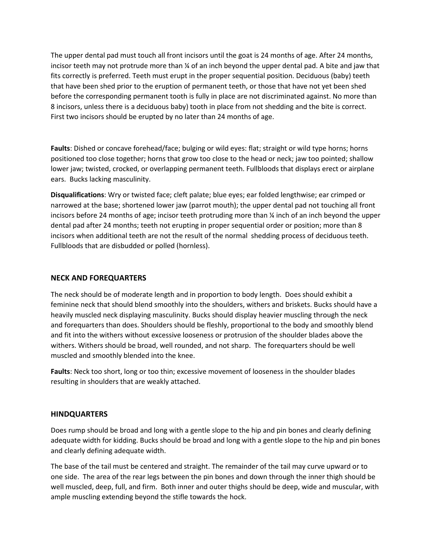The upper dental pad must touch all front incisors until the goat is 24 months of age. After 24 months, incisor teeth may not protrude more than ¼ of an inch beyond the upper dental pad. A bite and jaw that fits correctly is preferred. Teeth must erupt in the proper sequential position. Deciduous (baby) teeth that have been shed prior to the eruption of permanent teeth, or those that have not yet been shed before the corresponding permanent tooth is fully in place are not discriminated against. No more than 8 incisors, unless there is a deciduous baby) tooth in place from not shedding and the bite is correct. First two incisors should be erupted by no later than 24 months of age.

**Faults**: Dished or concave forehead/face; bulging or wild eyes: flat; straight or wild type horns; horns positioned too close together; horns that grow too close to the head or neck; jaw too pointed; shallow lower jaw; twisted, crocked, or overlapping permanent teeth. Fullbloods that displays erect or airplane ears. Bucks lacking masculinity.

**Disqualifications**: Wry or twisted face; cleft palate; blue eyes; ear folded lengthwise; ear crimped or narrowed at the base; shortened lower jaw (parrot mouth); the upper dental pad not touching all front incisors before 24 months of age; incisor teeth protruding more than ¼ inch of an inch beyond the upper dental pad after 24 months; teeth not erupting in proper sequential order or position; more than 8 incisors when additional teeth are not the result of the normal shedding process of deciduous teeth. Fullbloods that are disbudded or polled (hornless).

#### **NECK AND FOREQUARTERS**

The neck should be of moderate length and in proportion to body length. Does should exhibit a feminine neck that should blend smoothly into the shoulders, withers and briskets. Bucks should have a heavily muscled neck displaying masculinity. Bucks should display heavier muscling through the neck and forequarters than does. Shoulders should be fleshly, proportional to the body and smoothly blend and fit into the withers without excessive looseness or protrusion of the shoulder blades above the withers. Withers should be broad, well rounded, and not sharp. The forequarters should be well muscled and smoothly blended into the knee.

**Faults**: Neck too short, long or too thin; excessive movement of looseness in the shoulder blades resulting in shoulders that are weakly attached.

#### **HINDQUARTERS**

Does rump should be broad and long with a gentle slope to the hip and pin bones and clearly defining adequate width for kidding. Bucks should be broad and long with a gentle slope to the hip and pin bones and clearly defining adequate width.

The base of the tail must be centered and straight. The remainder of the tail may curve upward or to one side. The area of the rear legs between the pin bones and down through the inner thigh should be well muscled, deep, full, and firm. Both inner and outer thighs should be deep, wide and muscular, with ample muscling extending beyond the stifle towards the hock.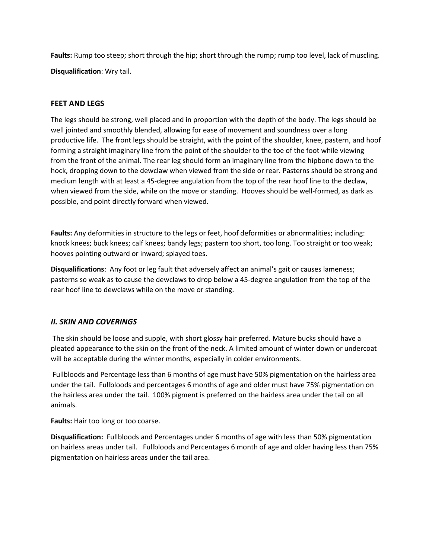**Faults:** Rump too steep; short through the hip; short through the rump; rump too level, lack of muscling. **Disqualification**: Wry tail.

### **FEET AND LEGS**

The legs should be strong, well placed and in proportion with the depth of the body. The legs should be well jointed and smoothly blended, allowing for ease of movement and soundness over a long productive life. The front legs should be straight, with the point of the shoulder, knee, pastern, and hoof forming a straight imaginary line from the point of the shoulder to the toe of the foot while viewing from the front of the animal. The rear leg should form an imaginary line from the hipbone down to the hock, dropping down to the dewclaw when viewed from the side or rear. Pasterns should be strong and medium length with at least a 45-degree angulation from the top of the rear hoof line to the declaw, when viewed from the side, while on the move or standing. Hooves should be well-formed, as dark as possible, and point directly forward when viewed.

**Faults:** Any deformities in structure to the legs or feet, hoof deformities or abnormalities; including: knock knees; buck knees; calf knees; bandy legs; pastern too short, too long. Too straight or too weak; hooves pointing outward or inward; splayed toes.

**Disqualifications**: Any foot or leg fault that adversely affect an animal's gait or causes lameness; pasterns so weak as to cause the dewclaws to drop below a 45-degree angulation from the top of the rear hoof line to dewclaws while on the move or standing.

### *II. SKIN AND COVERINGS*

The skin should be loose and supple, with short glossy hair preferred. Mature bucks should have a pleated appearance to the skin on the front of the neck. A limited amount of winter down or undercoat will be acceptable during the winter months, especially in colder environments.

Fullbloods and Percentage less than 6 months of age must have 50% pigmentation on the hairless area under the tail. Fullbloods and percentages 6 months of age and older must have 75% pigmentation on the hairless area under the tail. 100% pigment is preferred on the hairless area under the tail on all animals.

**Faults:** Hair too long or too coarse.

**Disqualification:** Fullbloods and Percentages under 6 months of age with less than 50% pigmentation on hairless areas under tail. Fullbloods and Percentages 6 month of age and older having less than 75% pigmentation on hairless areas under the tail area.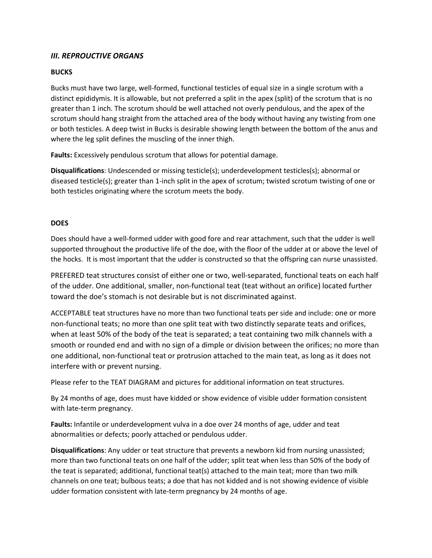## *III. REPROUCTIVE ORGANS*

#### **BUCKS**

Bucks must have two large, well-formed, functional testicles of equal size in a single scrotum with a distinct epididymis. It is allowable, but not preferred a split in the apex (split) of the scrotum that is no greater than 1 inch. The scrotum should be well attached not overly pendulous, and the apex of the scrotum should hang straight from the attached area of the body without having any twisting from one or both testicles. A deep twist in Bucks is desirable showing length between the bottom of the anus and where the leg split defines the muscling of the inner thigh.

**Faults:** Excessively pendulous scrotum that allows for potential damage.

**Disqualifications**: Undescended or missing testicle(s); underdevelopment testicles(s); abnormal or diseased testicle(s); greater than 1-inch split in the apex of scrotum; twisted scrotum twisting of one or both testicles originating where the scrotum meets the body.

#### **DOES**

Does should have a well-formed udder with good fore and rear attachment, such that the udder is well supported throughout the productive life of the doe, with the floor of the udder at or above the level of the hocks. It is most important that the udder is constructed so that the offspring can nurse unassisted.

PREFERED teat structures consist of either one or two, well-separated, functional teats on each half of the udder. One additional, smaller, non-functional teat (teat without an orifice) located further toward the doe's stomach is not desirable but is not discriminated against.

ACCEPTABLE teat structures have no more than two functional teats per side and include: one or more non-functional teats; no more than one split teat with two distinctly separate teats and orifices, when at least 50% of the body of the teat is separated; a teat containing two milk channels with a smooth or rounded end and with no sign of a dimple or division between the orifices; no more than one additional, non-functional teat or protrusion attached to the main teat, as long as it does not interfere with or prevent nursing.

Please refer to the TEAT DIAGRAM and pictures for additional information on teat structures.

By 24 months of age, does must have kidded or show evidence of visible udder formation consistent with late-term pregnancy.

**Faults:** Infantile or underdevelopment vulva in a doe over 24 months of age, udder and teat abnormalities or defects; poorly attached or pendulous udder.

**Disqualifications**: Any udder or teat structure that prevents a newborn kid from nursing unassisted; more than two functional teats on one half of the udder; split teat when less than 50% of the body of the teat is separated; additional, functional teat(s) attached to the main teat; more than two milk channels on one teat; bulbous teats; a doe that has not kidded and is not showing evidence of visible udder formation consistent with late-term pregnancy by 24 months of age.